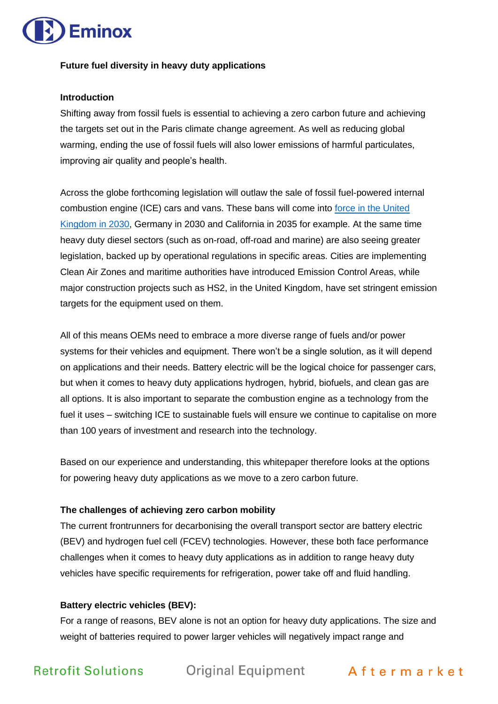

#### **Future fuel diversity in heavy duty applications**

#### **Introduction**

Shifting away from fossil fuels is essential to achieving a zero carbon future and achieving the targets set out in the Paris climate change agreement. As well as reducing global warming, ending the use of fossil fuels will also lower emissions of harmful particulates, improving air quality and people's health.

Across the globe forthcoming legislation will outlaw the sale of fossil fuel-powered internal combustion engine (ICE) cars and vans. These bans will come into [force in the United](https://www.bbc.co.uk/news/science-environment-54981425)  [Kingdom](https://www.bbc.co.uk/news/science-environment-54981425) in 2030, Germany in 2030 and California in 2035 for example. At the same time heavy duty diesel sectors (such as on-road, off-road and marine) are also seeing greater legislation, backed up by operational regulations in specific areas. Cities are implementing Clean Air Zones and maritime authorities have introduced Emission Control Areas, while major construction projects such as HS2, in the United Kingdom, have set stringent emission targets for the equipment used on them.

All of this means OEMs need to embrace a more diverse range of fuels and/or power systems for their vehicles and equipment. There won't be a single solution, as it will depend on applications and their needs. Battery electric will be the logical choice for passenger cars, but when it comes to heavy duty applications hydrogen, hybrid, biofuels, and clean gas are all options. It is also important to separate the combustion engine as a technology from the fuel it uses – switching ICE to sustainable fuels will ensure we continue to capitalise on more than 100 years of investment and research into the technology.

Based on our experience and understanding, this whitepaper therefore looks at the options for powering heavy duty applications as we move to a zero carbon future.

### **The challenges of achieving zero carbon mobility**

The current frontrunners for decarbonising the overall transport sector are battery electric (BEV) and hydrogen fuel cell (FCEV) technologies. However, these both face performance challenges when it comes to heavy duty applications as in addition to range heavy duty vehicles have specific requirements for refrigeration, power take off and fluid handling.

#### **Battery electric vehicles (BEV):**

For a range of reasons, BEV alone is not an option for heavy duty applications. The size and weight of batteries required to power larger vehicles will negatively impact range and

Retrofit Solutions Original Equipment Aftermarket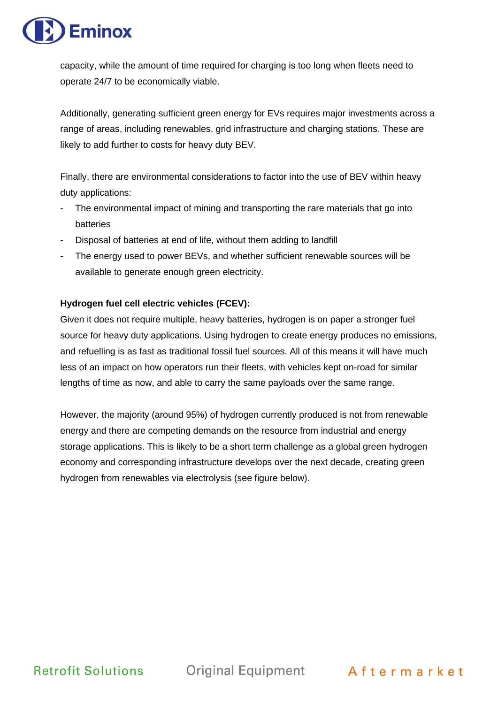

capacity, while the amount of time required for charging is too long when fleets need to operate 24/7 to be economically viable.

Additionally, generating sufficient green energy for EVs requires major investments across a range of areas, including renewables, grid infrastructure and charging stations. These are likely to add further to costs for heavy duty BEV.

Finally, there are environmental considerations to factor into the use of BEV within heavy duty applications:

- The environmental impact of mining and transporting the rare materials that go into batteries
- Disposal of batteries at end of life, without them adding to landfill
- The energy used to power BEVs, and whether sufficient renewable sources will be available to generate enough green electricity.

### **Hydrogen fuel cell electric vehicles (FCEV):**

Given it does not require multiple, heavy batteries, hydrogen is on paper a stronger fuel source for heavy duty applications. Using hydrogen to create energy produces no emissions, and refuelling is as fast as traditional fossil fuel sources. All of this means it will have much less of an impact on how operators run their fleets, with vehicles kept on-road for similar lengths of time as now, and able to carry the same payloads over the same range.

However, the majority (around 95%) of hydrogen currently produced is not from renewable energy and there are competing demands on the resource from industrial and energy storage applications. This is likely to be a short term challenge as a global green hydrogen economy and corresponding infrastructure develops over the next decade, creating green hydrogen from renewables via electrolysis (see figure below).

**Retrofit Solutions** 

Original Equipment Aftermarket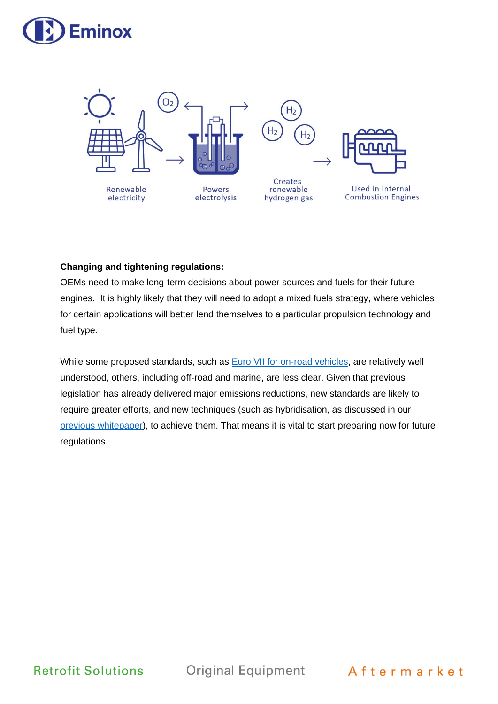



### **Changing and tightening regulations:**

OEMs need to make long-term decisions about power sources and fuels for their future engines. It is highly likely that they will need to adopt a mixed fuels strategy, where vehicles for certain applications will better lend themselves to a particular propulsion technology and fuel type.

While some proposed standards, such as [Euro VII for on-road vehicles,](https://www.acea.auto/files/ACEA_Position_Paper-Views_on_proposals_for_Euro_7_emission_standard.pdf) are relatively well understood, others, including off-road and marine, are less clear. Given that previous legislation has already delivered major emissions reductions, new standards are likely to require greater efforts, and new techniques (such as hybridisation, as discussed in our [previous whitepaper\)](https://eminox.com/downloads/eminox-co2-whitepaper-meeting-the-challenge-of-reducing-co2-emissions-smart-hybridisation-and-zero-emissions/), to achieve them. That means it is vital to start preparing now for future regulations.

**Retrofit Solutions** 

**Original Equipment** 

Aftermarket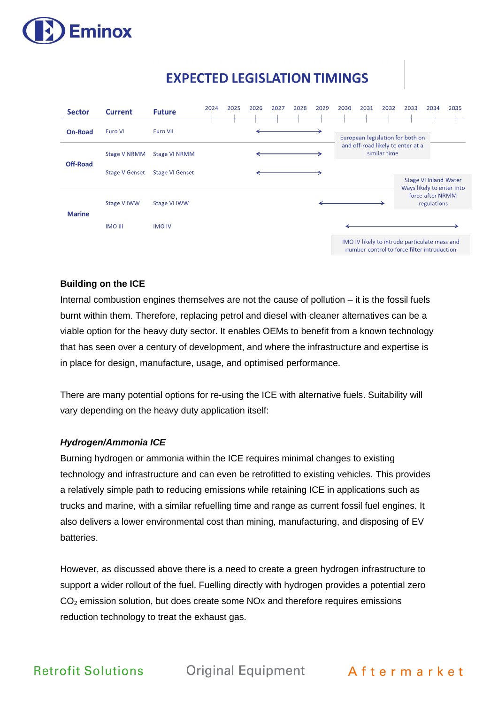

# **EXPECTED LEGISLATION TIMINGS**

| <b>Sector</b>  | <b>Current</b>        | <b>Future</b>          | 2024                                                                                         | 2025 | 2026 | 2027 | 2028 | 2029 | 2030 | 2031                             | 2032                            | 2033                              | 2034                         | 2035                      |
|----------------|-----------------------|------------------------|----------------------------------------------------------------------------------------------|------|------|------|------|------|------|----------------------------------|---------------------------------|-----------------------------------|------------------------------|---------------------------|
| <b>On-Road</b> | Euro VI               | Euro VII               |                                                                                              |      |      |      |      |      |      | European legislation for both on |                                 |                                   |                              |                           |
| Off-Road       | Stage V NRMM          | Stage VI NRMM          |                                                                                              |      |      |      |      |      |      |                                  | similar time                    | and off-road likely to enter at a |                              |                           |
|                | <b>Stage V Genset</b> | <b>Stage VI Genset</b> |                                                                                              |      |      |      |      |      |      |                                  |                                 |                                   | <b>Stage VI Inland Water</b> | Ways likely to enter into |
| <b>Marine</b>  | <b>Stage V IWW</b>    | Stage VI IWW           |                                                                                              |      |      |      |      |      |      |                                  | force after NRMM<br>regulations |                                   |                              |                           |
|                | <b>IMO III</b>        | <b>IMO IV</b>          |                                                                                              |      |      |      |      |      |      |                                  |                                 |                                   |                              |                           |
|                |                       |                        | IMO IV likely to intrude particulate mass and<br>number control to force filter introduction |      |      |      |      |      |      |                                  |                                 |                                   |                              |                           |

### **Building on the ICE**

Internal combustion engines themselves are not the cause of pollution – it is the fossil fuels burnt within them. Therefore, replacing petrol and diesel with cleaner alternatives can be a viable option for the heavy duty sector. It enables OEMs to benefit from a known technology that has seen over a century of development, and where the infrastructure and expertise is in place for design, manufacture, usage, and optimised performance.

There are many potential options for re-using the ICE with alternative fuels. Suitability will vary depending on the heavy duty application itself:

### *Hydrogen/Ammonia ICE*

Burning hydrogen or ammonia within the ICE requires minimal changes to existing technology and infrastructure and can even be retrofitted to existing vehicles. This provides a relatively simple path to reducing emissions while retaining ICE in applications such as trucks and marine, with a similar refuelling time and range as current fossil fuel engines. It also delivers a lower environmental cost than mining, manufacturing, and disposing of EV batteries.

However, as discussed above there is a need to create a green hydrogen infrastructure to support a wider rollout of the fuel. Fuelling directly with hydrogen provides a potential zero  $CO<sub>2</sub>$  emission solution, but does create some NOx and therefore requires emissions reduction technology to treat the exhaust gas.

Retrofit Solutions Original Equipment Aftermarket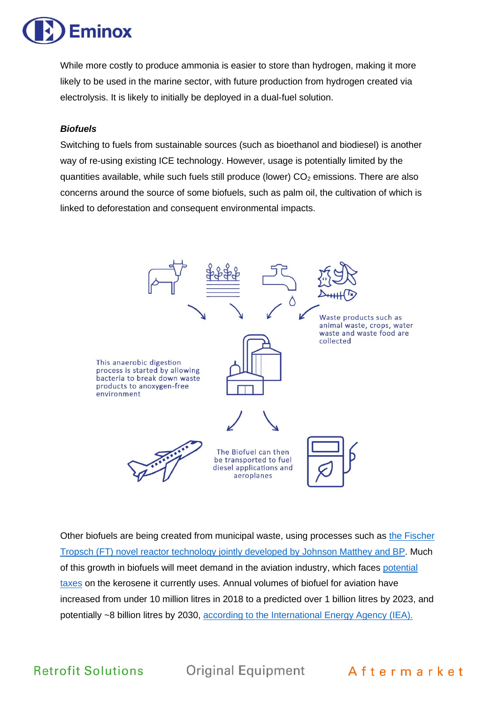

While more costly to produce ammonia is easier to store than hydrogen, making it more likely to be used in the marine sector, with future production from hydrogen created via electrolysis. It is likely to initially be deployed in a dual-fuel solution.

#### *Biofuels*

Switching to fuels from sustainable sources (such as bioethanol and biodiesel) is another way of re-using existing ICE technology. However, usage is potentially limited by the quantities available, while such fuels still produce (lower)  $CO<sub>2</sub>$  emissions. There are also concerns around the source of some biofuels, such as palm oil, the cultivation of which is linked to deforestation and consequent environmental impacts.



Other biofuels are being created from municipal waste, using processes such as [the Fischer](https://eminox.com/2019/05/31/eminox-and-johnson-matthey-announce-waste-to-biofuel-partnership/)  [Tropsch \(FT\) novel reactor technology jointly developed by Johnson Matthey and BP.](https://eminox.com/2019/05/31/eminox-and-johnson-matthey-announce-waste-to-biofuel-partnership/) Much of this growth in biofuels will meet demand in the aviation industry, which faces [potential](https://eandt.theiet.org/content/articles/2021/07/view-from-brussels-jet-fuel-on-eu-s-tax-radar/)  [taxes](https://eandt.theiet.org/content/articles/2021/07/view-from-brussels-jet-fuel-on-eu-s-tax-radar/) on the kerosene it currently uses. Annual volumes of biofuel for aviation have increased from under 10 million litres in 2018 to a predicted over 1 billion litres by 2023, and potentially ~8 billion litres by 2030, [according to the International Energy Agency \(IEA\).](https://www.renewableenergymagazine.com/biofuels/iea-bioenergy-publishes-report-on-progress-in-20210706)

**Retrofit Solutions** 

Original Equipment Aftermarket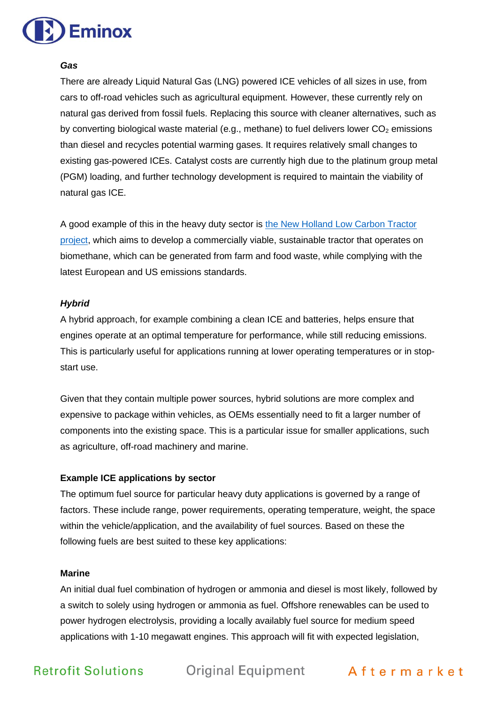

#### *Gas*

There are already Liquid Natural Gas (LNG) powered ICE vehicles of all sizes in use, from cars to off-road vehicles such as agricultural equipment. However, these currently rely on natural gas derived from fossil fuels. Replacing this source with cleaner alternatives, such as by converting biological waste material (e.g., methane) to fuel delivers lower  $CO<sub>2</sub>$  emissions than diesel and recycles potential warming gases. It requires relatively small changes to existing gas-powered ICEs. Catalyst costs are currently high due to the platinum group metal (PGM) loading, and further technology development is required to maintain the viability of natural gas ICE.

A good example of this in the heavy duty sector is [the New Holland Low Carbon Tractor](https://eminox.com/2019/10/31/eminox-helps-develop-innovative-low-carbon-tractor-project/)  [project,](https://eminox.com/2019/10/31/eminox-helps-develop-innovative-low-carbon-tractor-project/) which aims to develop a commercially viable, sustainable tractor that operates on biomethane, which can be generated from farm and food waste, while complying with the latest European and US emissions standards.

#### *Hybrid*

A hybrid approach, for example combining a clean ICE and batteries, helps ensure that engines operate at an optimal temperature for performance, while still reducing emissions. This is particularly useful for applications running at lower operating temperatures or in stopstart use.

Given that they contain multiple power sources, hybrid solutions are more complex and expensive to package within vehicles, as OEMs essentially need to fit a larger number of components into the existing space. This is a particular issue for smaller applications, such as agriculture, off-road machinery and marine.

### **Example ICE applications by sector**

The optimum fuel source for particular heavy duty applications is governed by a range of factors. These include range, power requirements, operating temperature, weight, the space within the vehicle/application, and the availability of fuel sources. Based on these the following fuels are best suited to these key applications:

#### **Marine**

An initial dual fuel combination of hydrogen or ammonia and diesel is most likely, followed by a switch to solely using hydrogen or ammonia as fuel. Offshore renewables can be used to power hydrogen electrolysis, providing a locally availably fuel source for medium speed applications with 1-10 megawatt engines. This approach will fit with expected legislation,

Retrofit Solutions Original Equipment Aftermarket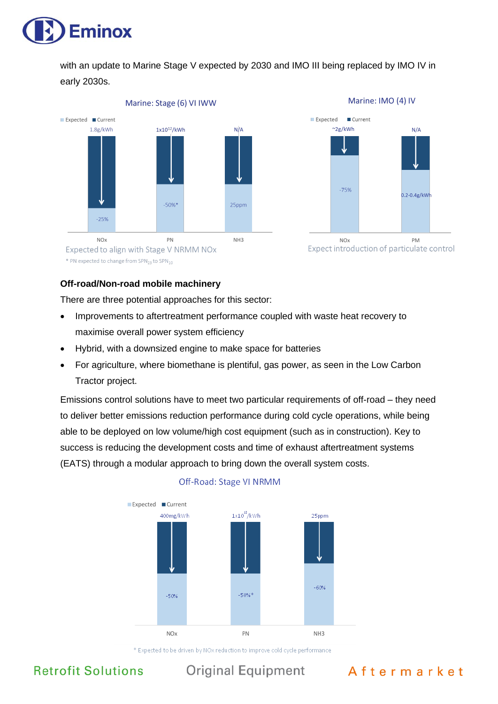

with an update to Marine Stage V expected by 2030 and IMO III being replaced by IMO IV in early 2030s.



\* PN expected to change from SPN<sub>23</sub> to SPN<sub>10</sub>

#### **Off-road/Non-road mobile machinery**

There are three potential approaches for this sector:

- Improvements to aftertreatment performance coupled with waste heat recovery to maximise overall power system efficiency
- Hybrid, with a downsized engine to make space for batteries
- For agriculture, where biomethane is plentiful, gas power, as seen in the Low Carbon Tractor project.

Emissions control solutions have to meet two particular requirements of off-road – they need to deliver better emissions reduction performance during cold cycle operations, while being able to be deployed on low volume/high cost equipment (such as in construction). Key to success is reducing the development costs and time of exhaust aftertreatment systems (EATS) through a modular approach to bring down the overall system costs.



### Off-Road: Stage VI NRMM

\* Expected to be driven by NOx reduction to improve cold cycle performance

**Retrofit Solutions** 

**Original Equipment** 

## Aftermarket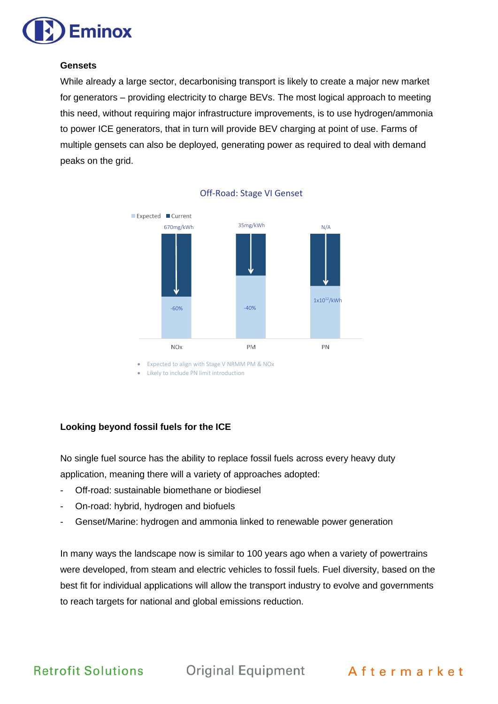

#### **Gensets**

While already a large sector, decarbonising transport is likely to create a major new market for generators – providing electricity to charge BEVs. The most logical approach to meeting this need, without requiring major infrastructure improvements, is to use hydrogen/ammonia to power ICE generators, that in turn will provide BEV charging at point of use. Farms of multiple gensets can also be deployed, generating power as required to deal with demand peaks on the grid.



Off-Road: Stage VI Genset

• Expected to align with Stage V NRMM PM & NOx

• Likely to include PN limit introduction

### **Looking beyond fossil fuels for the ICE**

No single fuel source has the ability to replace fossil fuels across every heavy duty application, meaning there will a variety of approaches adopted:

- Off-road: sustainable biomethane or biodiesel
- On-road: hybrid, hydrogen and biofuels
- Genset/Marine: hydrogen and ammonia linked to renewable power generation

In many ways the landscape now is similar to 100 years ago when a variety of powertrains were developed, from steam and electric vehicles to fossil fuels. Fuel diversity, based on the best fit for individual applications will allow the transport industry to evolve and governments to reach targets for national and global emissions reduction.

**Retrofit Solutions** Original Equipment Aftermarket